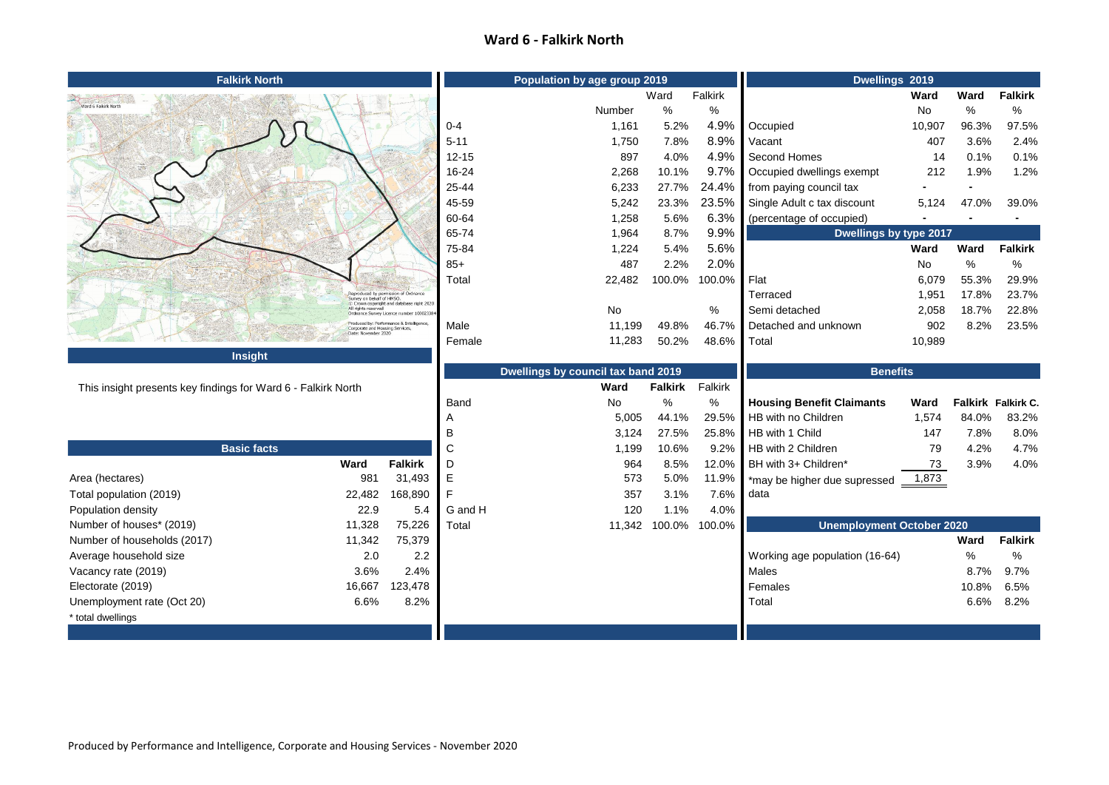## **Ward 6 - Falkirk North**

| <b>Falkirk North</b>                                          |                           |                                                                                                     | Population by age group 2019       |                |         |                 | Dwellings 2019                   |        |             |                    |
|---------------------------------------------------------------|---------------------------|-----------------------------------------------------------------------------------------------------|------------------------------------|----------------|---------|-----------------|----------------------------------|--------|-------------|--------------------|
|                                                               |                           |                                                                                                     |                                    |                | Ward    | Falkirk         |                                  | Ward   | Ward        | <b>Falkirk</b>     |
|                                                               |                           |                                                                                                     |                                    | Number         | $\%$    | $\%$            |                                  | No     | $\%$        | ℅                  |
|                                                               |                           |                                                                                                     | $0 - 4$                            | 1,161          | 5.2%    | 4.9%            | Occupied                         | 10,907 | 96.3%       | 97.5%              |
|                                                               |                           |                                                                                                     | $5 - 11$                           | 1,750          | 7.8%    | 8.9%            | Vacant                           | 407    | 3.6%        | 2.4%               |
|                                                               |                           |                                                                                                     | $12 - 15$                          | 897            | 4.0%    | 4.9%            | Second Homes                     | 14     | 0.1%        | 0.1%               |
|                                                               |                           |                                                                                                     | 16-24                              | 2,268          | 10.1%   | 9.7%            | Occupied dwellings exempt        | 212    | 1.9%        | 1.2%               |
|                                                               |                           |                                                                                                     | 25-44                              | 6,233          | 27.7%   | 24.4%           | from paying council tax          |        |             |                    |
|                                                               |                           |                                                                                                     | 45-59                              | 5,242          | 23.3%   | 23.5%           | Single Adult c tax discount      | 5,124  | 47.0%       | 39.0%              |
|                                                               |                           |                                                                                                     | 60-64                              | 1,258          | 5.6%    | 6.3%            | (percentage of occupied)         |        |             |                    |
|                                                               |                           |                                                                                                     | 65-74                              | 1,964          | 8.7%    | 9.9%            | Dwellings by type 2017           |        |             |                    |
|                                                               |                           |                                                                                                     | 75-84                              | 1,224          | 5.4%    | 5.6%            |                                  | Ward   | Ward        | <b>Falkirk</b>     |
|                                                               |                           |                                                                                                     | $85+$                              | 487            | 2.2%    | 2.0%            |                                  | No     | $\%$        | %                  |
|                                                               |                           |                                                                                                     | Total                              | 22,482         | 100.0%  | 100.0%          | Flat                             | 6,079  | 55.3%       | 29.9%              |
|                                                               | Survey on behalf of HMSO. | Reproduced by permission of Ordnance<br>C Crown copyright and database right 2020                   |                                    |                |         |                 | Terraced                         | 1,951  | 17.8%       | 23.7%              |
|                                                               | All rights reserved       | Ordnance Survey Licence number 100023384                                                            |                                    | No             |         | %               | Semi detached                    | 2,058  | 18.7%       | 22.8%              |
|                                                               |                           | Produced by: Performance & Intelligence,<br>Corporate and Housing Services,<br>-Date: November 2020 | Male                               | 11,199         | 49.8%   | 46.7%           | Detached and unknown             | 902    | 8.2%        | 23.5%              |
|                                                               |                           |                                                                                                     | Female                             | 11,283         | 50.2%   | 48.6%           | Total                            | 10,989 |             |                    |
| <b>Insight</b>                                                |                           |                                                                                                     |                                    |                |         |                 |                                  |        |             |                    |
|                                                               |                           |                                                                                                     | Dwellings by council tax band 2019 |                |         | <b>Benefits</b> |                                  |        |             |                    |
| This insight presents key findings for Ward 6 - Falkirk North |                           |                                                                                                     | Ward                               | <b>Falkirk</b> | Falkirk |                 |                                  |        |             |                    |
|                                                               |                           |                                                                                                     | Band                               | No             | $\%$    | %               | <b>Housing Benefit Claimants</b> | Ward   |             | Falkirk Falkirk C. |
|                                                               |                           |                                                                                                     |                                    | 5,005          | 44.1%   | 29.5%           | HB with no Children              | 1,574  | 84.0%       | 83.2%              |
|                                                               |                           |                                                                                                     | B                                  | 3,124          | 27.5%   | 25.8%           | HB with 1 Child                  | 147    | 7.8%        | 8.0%               |
| <b>Basic facts</b>                                            |                           |                                                                                                     | C                                  | 1,199          | 10.6%   | 9.2%            | HB with 2 Children               | 79     | 4.2%        | 4.7%               |
|                                                               | Ward                      | <b>Falkirk</b>                                                                                      | D                                  | 964            | 8.5%    | 12.0%           | BH with 3+ Children*             | 73     | 3.9%        | 4.0%               |
| Area (hectares)                                               | 981                       | 31,493                                                                                              | E                                  | 573            | 5.0%    | 11.9%           | *may be higher due supressed     | 1,873  |             |                    |
| Total population (2019)                                       | 22,482                    | 168,890                                                                                             | F                                  | 357            | 3.1%    | 7.6%            | data                             |        |             |                    |
| Population density                                            | 22.9                      | 5.4                                                                                                 | G and H                            | 120            | 1.1%    | 4.0%            |                                  |        |             |                    |
| Number of houses* (2019)                                      | 11,328                    | 75,226                                                                                              | Total                              | 11,342         | 100.0%  | 100.0%          | <b>Unemployment October 2020</b> |        |             |                    |
| Number of households (2017)                                   | 11,342                    | 75,379                                                                                              |                                    |                |         |                 |                                  |        | <b>Ward</b> | <b>Falkirk</b>     |
| Average household size                                        | 2.0                       | 2.2                                                                                                 |                                    |                |         |                 | Working age population (16-64)   |        | %           | %                  |
| Vacancy rate (2019)                                           | 3.6%                      | 2.4%                                                                                                |                                    |                |         |                 | Males                            |        |             | 8.7% 9.7%          |
| Electorate (2019)                                             | 16,667                    | 123,478                                                                                             |                                    |                |         |                 | Females                          |        | 10.8%       | 6.5%               |
| Unemployment rate (Oct 20)                                    | 6.6%                      | 8.2%                                                                                                |                                    |                |         |                 | Total                            |        |             | 6.6% 8.2%          |
| * total dwellings                                             |                           |                                                                                                     |                                    |                |         |                 |                                  |        |             |                    |
|                                                               |                           |                                                                                                     |                                    |                |         |                 |                                  |        |             |                    |